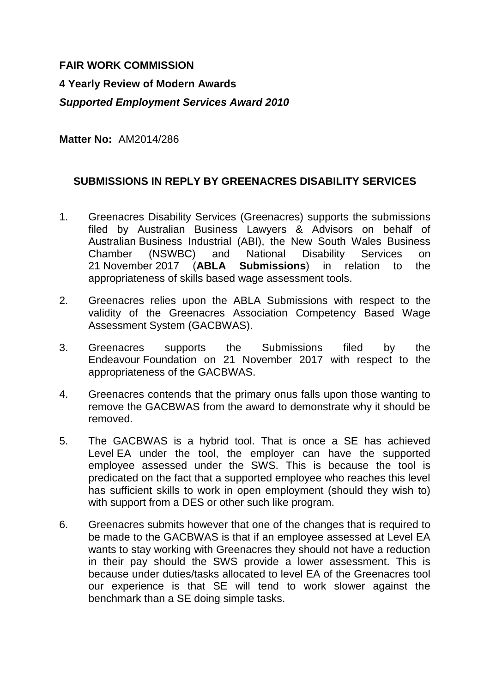# **FAIR WORK COMMISSION**

### **4 Yearly Review of Modern Awards**

# *Supported Employment Services Award 2010*

**Matter No:** AM2014/286

#### **SUBMISSIONS IN REPLY BY GREENACRES DISABILITY SERVICES**

- 1. Greenacres Disability Services (Greenacres) supports the submissions filed by Australian Business Lawyers & Advisors on behalf of Australian Business Industrial (ABI), the New South Wales Business Chamber (NSWBC) and National Disability Services on 21 November 2017 (**ABLA Submissions**) in relation to the appropriateness of skills based wage assessment tools.
- 2. Greenacres relies upon the ABLA Submissions with respect to the validity of the Greenacres Association Competency Based Wage Assessment System (GACBWAS).
- 3. Greenacres supports the Submissions filed by the Endeavour Foundation on 21 November 2017 with respect to the appropriateness of the GACBWAS.
- 4. Greenacres contends that the primary onus falls upon those wanting to remove the GACBWAS from the award to demonstrate why it should be removed.
- 5. The GACBWAS is a hybrid tool. That is once a SE has achieved Level EA under the tool, the employer can have the supported employee assessed under the SWS. This is because the tool is predicated on the fact that a supported employee who reaches this level has sufficient skills to work in open employment (should they wish to) with support from a DES or other such like program.
- 6. Greenacres submits however that one of the changes that is required to be made to the GACBWAS is that if an employee assessed at Level EA wants to stay working with Greenacres they should not have a reduction in their pay should the SWS provide a lower assessment. This is because under duties/tasks allocated to level EA of the Greenacres tool our experience is that SE will tend to work slower against the benchmark than a SE doing simple tasks.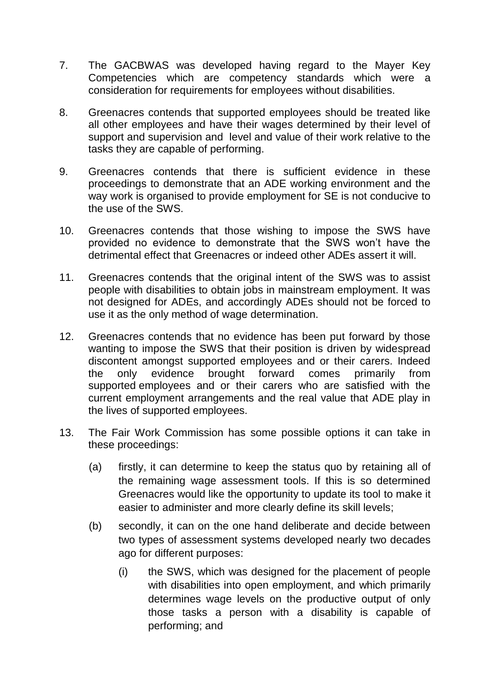- 7. The GACBWAS was developed having regard to the Mayer Key Competencies which are competency standards which were a consideration for requirements for employees without disabilities.
- 8. Greenacres contends that supported employees should be treated like all other employees and have their wages determined by their level of support and supervision and level and value of their work relative to the tasks they are capable of performing.
- 9. Greenacres contends that there is sufficient evidence in these proceedings to demonstrate that an ADE working environment and the way work is organised to provide employment for SE is not conducive to the use of the SWS.
- 10. Greenacres contends that those wishing to impose the SWS have provided no evidence to demonstrate that the SWS won't have the detrimental effect that Greenacres or indeed other ADEs assert it will.
- 11. Greenacres contends that the original intent of the SWS was to assist people with disabilities to obtain jobs in mainstream employment. It was not designed for ADEs, and accordingly ADEs should not be forced to use it as the only method of wage determination.
- 12. Greenacres contends that no evidence has been put forward by those wanting to impose the SWS that their position is driven by widespread discontent amongst supported employees and or their carers. Indeed the only evidence brought forward comes primarily from supported employees and or their carers who are satisfied with the current employment arrangements and the real value that ADE play in the lives of supported employees.
- 13. The Fair Work Commission has some possible options it can take in these proceedings:
	- (a) firstly, it can determine to keep the status quo by retaining all of the remaining wage assessment tools. If this is so determined Greenacres would like the opportunity to update its tool to make it easier to administer and more clearly define its skill levels;
	- (b) secondly, it can on the one hand deliberate and decide between two types of assessment systems developed nearly two decades ago for different purposes:
		- (i) the SWS, which was designed for the placement of people with disabilities into open employment, and which primarily determines wage levels on the productive output of only those tasks a person with a disability is capable of performing; and